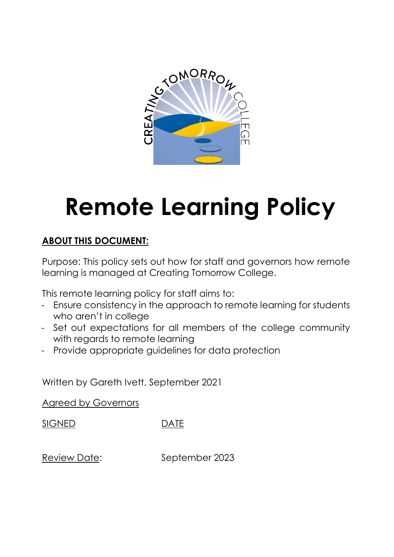

# **Remote Learning Policy**

# **ABOUT THIS DOCUMENT:**

Purpose: This policy sets out how for staff and governors how remote learning is managed at Creating Tomorrow College.

This remote learning policy for staff aims to:

- Ensure consistency in the approach to remote learning for students who aren't in college
- Set out expectations for all members of the college community with regards to remote learning
- Provide appropriate guidelines for data protection

Written by Gareth Ivett, September 2021

Agreed by Governors

SIGNED DATE

Review Date: September 2023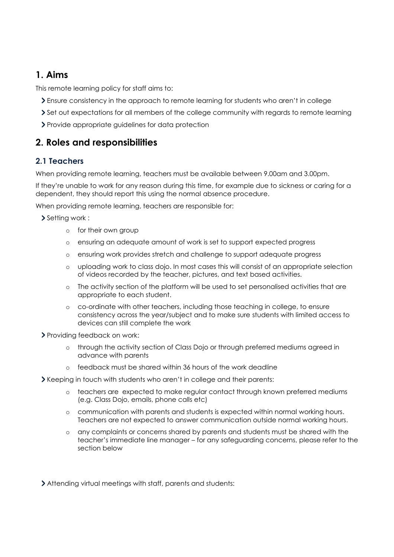# **1. Aims**

This remote learning policy for staff aims to:

- Ensure consistency in the approach to remote learning for students who aren't in college
- Set out expectations for all members of the college community with regards to remote learning
- Provide appropriate guidelines for data protection

# **2. Roles and responsibilities**

## **2.1 Teachers**

When providing remote learning, teachers must be available between 9.00am and 3.00pm.

If they're unable to work for any reason during this time, for example due to sickness or caring for a dependent, they should report this using the normal absence procedure.

When providing remote learning, teachers are responsible for:

Setting work :

- o for their own group
- o ensuring an adequate amount of work is set to support expected progress
- o ensuring work provides stretch and challenge to support adequate progress
- o uploading work to class dojo. In most cases this will consist of an appropriate selection of videos recorded by the teacher, pictures, and text based activities.
- o The activity section of the platform will be used to set personalised activities that are appropriate to each student.
- o co-ordinate with other teachers, including those teaching in college, to ensure consistency across the year/subject and to make sure students with limited access to devices can still complete the work
- > Providing feedback on work:
	- o through the activity section of Class Dojo or through preferred mediums agreed in advance with parents
	- o feedback must be shared within 36 hours of the work deadline
- Keeping in touch with students who aren't in college and their parents:
	- o teachers are expected to make regular contact through known preferred mediums (e.g. Class Dojo, emails, phone calls etc)
	- o communication with parents and students is expected within normal working hours. Teachers are not expected to answer communication outside normal working hours.
	- o any complaints or concerns shared by parents and students must be shared with the teacher's immediate line manager – for any safeguarding concerns, please refer to the section below
- Attending virtual meetings with staff, parents and students: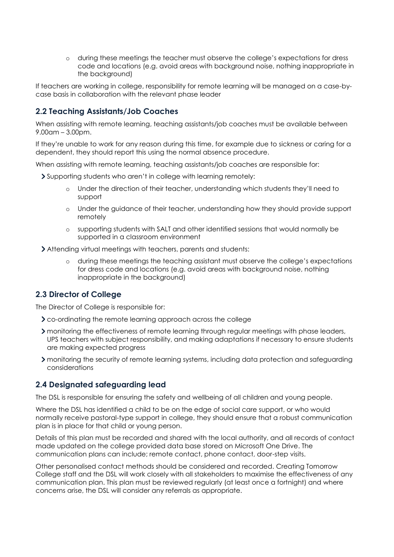o during these meetings the teacher must observe the college's expectations for dress code and locations (e.g. avoid areas with background noise, nothing inappropriate in the background)

If teachers are working in college, responsibility for remote learning will be managed on a case-bycase basis in collaboration with the relevant phase leader

#### **2.2 Teaching Assistants/Job Coaches**

When assisting with remote learning, teaching assistants/job coaches must be available between 9.00am – 3.00pm.

If they're unable to work for any reason during this time, for example due to sickness or caring for a dependent, they should report this using the normal absence procedure.

When assisting with remote learning, teaching assistants/job coaches are responsible for:

Supporting students who aren't in college with learning remotely:

- o Under the direction of their teacher, understanding which students they'll need to support
- o Under the guidance of their teacher, understanding how they should provide support remotely
- o supporting students with SALT and other identified sessions that would normally be supported in a classroom environment

Attending virtual meetings with teachers, parents and students:

o during these meetings the teaching assistant must observe the college's expectations for dress code and locations (e.g. avoid areas with background noise, nothing inappropriate in the background)

#### **2.3 Director of College**

The Director of College is responsible for:

- co-ordinating the remote learning approach across the college
- monitoring the effectiveness of remote learning through regular meetings with phase leaders, UPS teachers with subject responsibility, and making adaptations if necessary to ensure students are making expected progress
- monitoring the security of remote learning systems, including data protection and safeguarding considerations

#### **2.4 Designated safeguarding lead**

The DSL is responsible for ensuring the safety and wellbeing of all children and young people.

Where the DSL has identified a child to be on the edge of social care support, or who would normally receive pastoral-type support in college, they should ensure that a robust communication plan is in place for that child or young person.

Details of this plan must be recorded and shared with the local authority, and all records of contact made updated on the college provided data base stored on Microsoft One Drive. The communication plans can include; remote contact, phone contact, door-step visits.

Other personalised contact methods should be considered and recorded. Creating Tomorrow College staff and the DSL will work closely with all stakeholders to maximise the effectiveness of any communication plan. This plan must be reviewed regularly (at least once a fortnight) and where concerns arise, the DSL will consider any referrals as appropriate.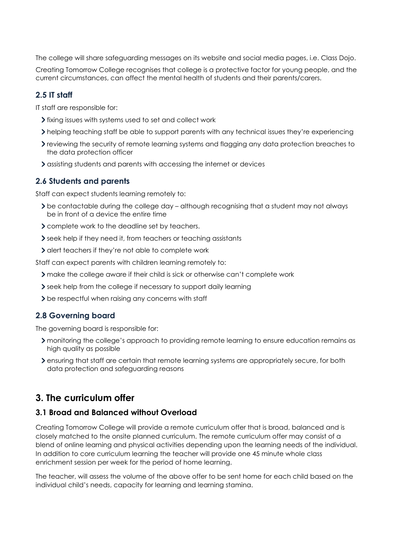The college will share safeguarding messages on its website and social media pages, i.e. Class Dojo.

Creating Tomorrow College recognises that college is a protective factor for young people, and the current circumstances, can affect the mental health of students and their parents/carers.

#### **2.5 IT staff**

IT staff are responsible for:

- If ixing issues with systems used to set and collect work
- helping teaching staff be able to support parents with any technical issues they're experiencing
- reviewing the security of remote learning systems and flagging any data protection breaches to the data protection officer
- > assisting students and parents with accessing the internet or devices

#### **2.6 Students and parents**

Staff can expect students learning remotely to:

- be contactable during the college day although recognising that a student may not always be in front of a device the entire time
- complete work to the deadline set by teachers.
- seek help if they need it, from teachers or teaching assistants
- If alert teachers if they're not able to complete work

Staff can expect parents with children learning remotely to:

- make the college aware if their child is sick or otherwise can't complete work
- Seek help from the college if necessary to support daily learning
- > be respectful when raising any concerns with staff

## **2.8 Governing board**

The governing board is responsible for:

- monitoring the college's approach to providing remote learning to ensure education remains as high quality as possible
- ensuring that staff are certain that remote learning systems are appropriately secure, for both data protection and safeguarding reasons

# **3. The curriculum offer**

#### **3.1 Broad and Balanced without Overload**

Creating Tomorrow College will provide a remote curriculum offer that is broad, balanced and is closely matched to the onsite planned curriculum. The remote curriculum offer may consist of a blend of online learning and physical activities depending upon the learning needs of the individual. In addition to core curriculum learning the teacher will provide one 45 minute whole class enrichment session per week for the period of home learning.

The teacher, will assess the volume of the above offer to be sent home for each child based on the individual child's needs, capacity for learning and learning stamina.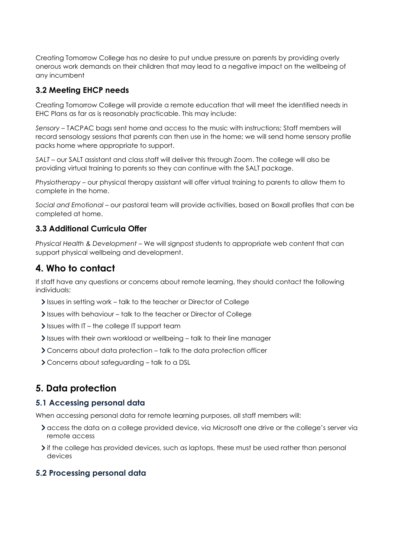Creating Tomorrow College has no desire to put undue pressure on parents by providing overly onerous work demands on their children that may lead to a negative impact on the wellbeing of any incumbent

## **3.2 Meeting EHCP needs**

Creating Tomorrow College will provide a remote education that will meet the identified needs in EHC Plans as far as is reasonably practicable. This may include:

*Sensory* – TACPAC bags sent home and access to the music with instructions; Staff members will record sensology sessions that parents can then use in the home; we will send home sensory profile packs home where appropriate to support.

*SALT* – our SALT assistant and class staff will deliver this through Zoom. The college will also be providing virtual training to parents so they can continue with the SALT package.

*Physiotherapy* – our physical therapy assistant will offer virtual training to parents to allow them to complete in the home.

*Social and Emotional* – our pastoral team will provide activities, based on Boxall profiles that can be completed at home.

## **3.3 Additional Curricula Offer**

*Physical Health & Development* – We will signpost students to appropriate web content that can support physical wellbeing and development.

# **4. Who to contact**

If staff have any questions or concerns about remote learning, they should contact the following individuals:

- If Issues in setting work talk to the teacher or Director of College
- Issues with behaviour talk to the teacher or Director of College
- $\ge$  Issues with IT the college IT support team
- Issues with their own workload or wellbeing talk to their line manager
- Concerns about data protection talk to the data protection officer
- Concerns about safeguarding talk to a DSL

# **5. Data protection**

## **5.1 Accessing personal data**

When accessing personal data for remote learning purposes, all staff members will:

- access the data on a college provided device, via Microsoft one drive or the college's server via remote access
- If the college has provided devices, such as laptops, these must be used rather than personal devices

# **5.2 Processing personal data**